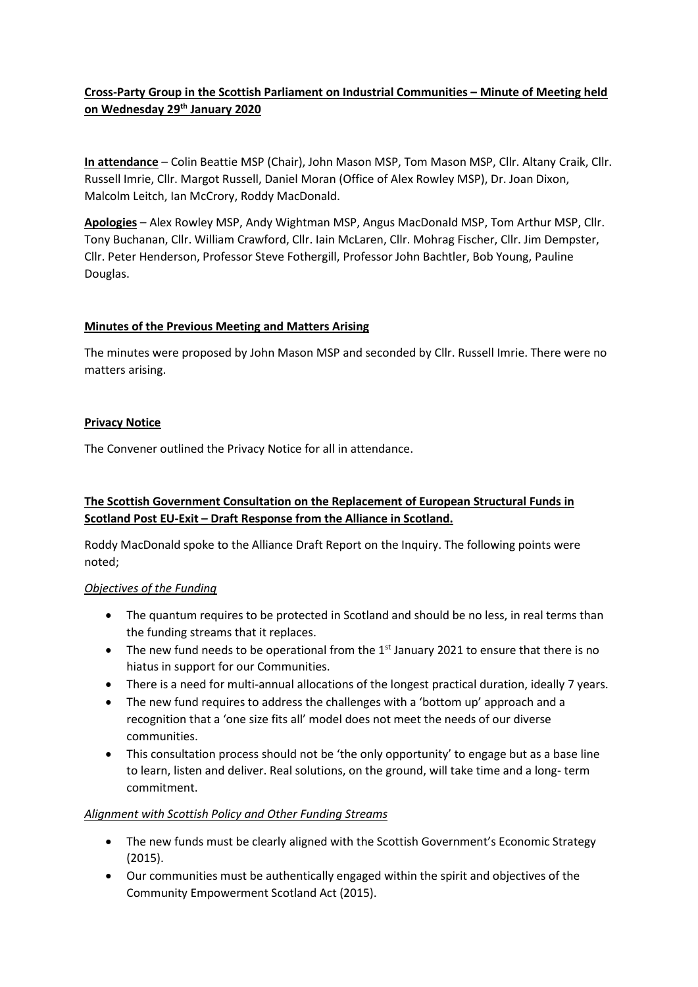# **Cross-Party Group in the Scottish Parliament on Industrial Communities – Minute of Meeting held on Wednesday 29th January 2020**

**In attendance** – Colin Beattie MSP (Chair), John Mason MSP, Tom Mason MSP, Cllr. Altany Craik, Cllr. Russell Imrie, Cllr. Margot Russell, Daniel Moran (Office of Alex Rowley MSP), Dr. Joan Dixon, Malcolm Leitch, Ian McCrory, Roddy MacDonald.

**Apologies** – Alex Rowley MSP, Andy Wightman MSP, Angus MacDonald MSP, Tom Arthur MSP, Cllr. Tony Buchanan, Cllr. William Crawford, Cllr. Iain McLaren, Cllr. Mohrag Fischer, Cllr. Jim Dempster, Cllr. Peter Henderson, Professor Steve Fothergill, Professor John Bachtler, Bob Young, Pauline Douglas.

### **Minutes of the Previous Meeting and Matters Arising**

The minutes were proposed by John Mason MSP and seconded by Cllr. Russell Imrie. There were no matters arising.

### **Privacy Notice**

The Convener outlined the Privacy Notice for all in attendance.

# **The Scottish Government Consultation on the Replacement of European Structural Funds in Scotland Post EU-Exit – Draft Response from the Alliance in Scotland.**

Roddy MacDonald spoke to the Alliance Draft Report on the Inquiry. The following points were noted;

#### *Objectives of the Funding*

- The quantum requires to be protected in Scotland and should be no less, in real terms than the funding streams that it replaces.
- The new fund needs to be operational from the 1<sup>st</sup> January 2021 to ensure that there is no hiatus in support for our Communities.
- There is a need for multi-annual allocations of the longest practical duration, ideally 7 years.
- The new fund requires to address the challenges with a 'bottom up' approach and a recognition that a 'one size fits all' model does not meet the needs of our diverse communities.
- This consultation process should not be 'the only opportunity' to engage but as a base line to learn, listen and deliver. Real solutions, on the ground, will take time and a long- term commitment.

### *Alignment with Scottish Policy and Other Funding Streams*

- The new funds must be clearly aligned with the Scottish Government's Economic Strategy (2015).
- Our communities must be authentically engaged within the spirit and objectives of the Community Empowerment Scotland Act (2015).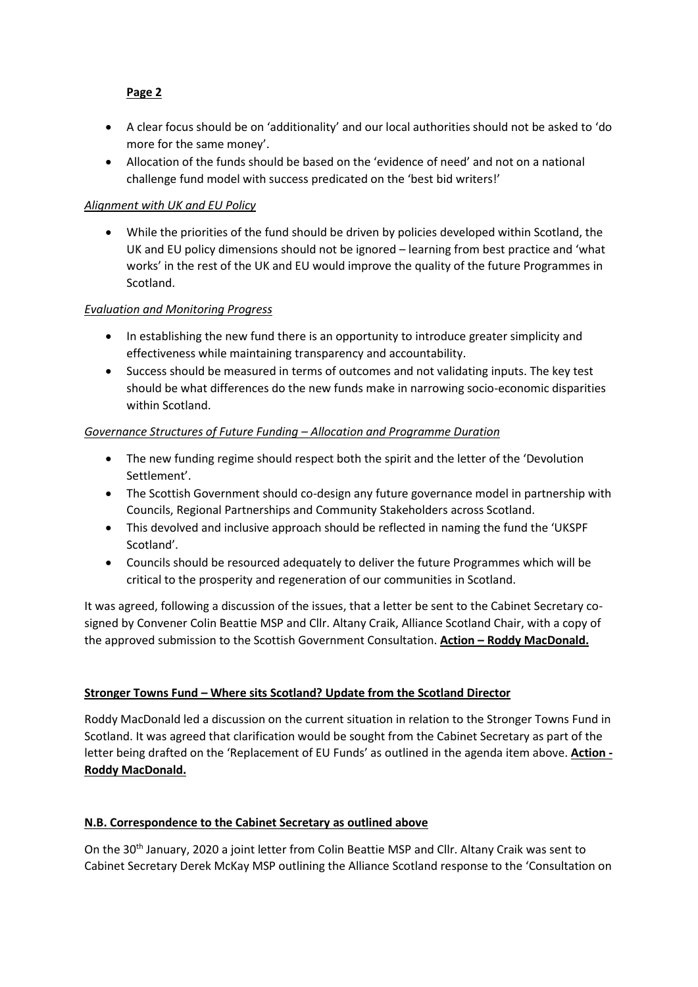# **Page 2**

- A clear focus should be on 'additionality' and our local authorities should not be asked to 'do more for the same money'.
- Allocation of the funds should be based on the 'evidence of need' and not on a national challenge fund model with success predicated on the 'best bid writers!'

# *Alignment with UK and EU Policy*

• While the priorities of the fund should be driven by policies developed within Scotland, the UK and EU policy dimensions should not be ignored – learning from best practice and 'what works' in the rest of the UK and EU would improve the quality of the future Programmes in Scotland.

### *Evaluation and Monitoring Progress*

- In establishing the new fund there is an opportunity to introduce greater simplicity and effectiveness while maintaining transparency and accountability.
- Success should be measured in terms of outcomes and not validating inputs. The key test should be what differences do the new funds make in narrowing socio-economic disparities within Scotland.

### *Governance Structures of Future Funding – Allocation and Programme Duration*

- The new funding regime should respect both the spirit and the letter of the 'Devolution Settlement'.
- The Scottish Government should co-design any future governance model in partnership with Councils, Regional Partnerships and Community Stakeholders across Scotland.
- This devolved and inclusive approach should be reflected in naming the fund the 'UKSPF Scotland'.
- Councils should be resourced adequately to deliver the future Programmes which will be critical to the prosperity and regeneration of our communities in Scotland.

It was agreed, following a discussion of the issues, that a letter be sent to the Cabinet Secretary cosigned by Convener Colin Beattie MSP and Cllr. Altany Craik, Alliance Scotland Chair, with a copy of the approved submission to the Scottish Government Consultation. **Action – Roddy MacDonald.**

### **Stronger Towns Fund – Where sits Scotland? Update from the Scotland Director**

Roddy MacDonald led a discussion on the current situation in relation to the Stronger Towns Fund in Scotland. It was agreed that clarification would be sought from the Cabinet Secretary as part of the letter being drafted on the 'Replacement of EU Funds' as outlined in the agenda item above. **Action - Roddy MacDonald.**

### **N.B. Correspondence to the Cabinet Secretary as outlined above**

On the 30<sup>th</sup> January, 2020 a joint letter from Colin Beattie MSP and Cllr. Altany Craik was sent to Cabinet Secretary Derek McKay MSP outlining the Alliance Scotland response to the 'Consultation on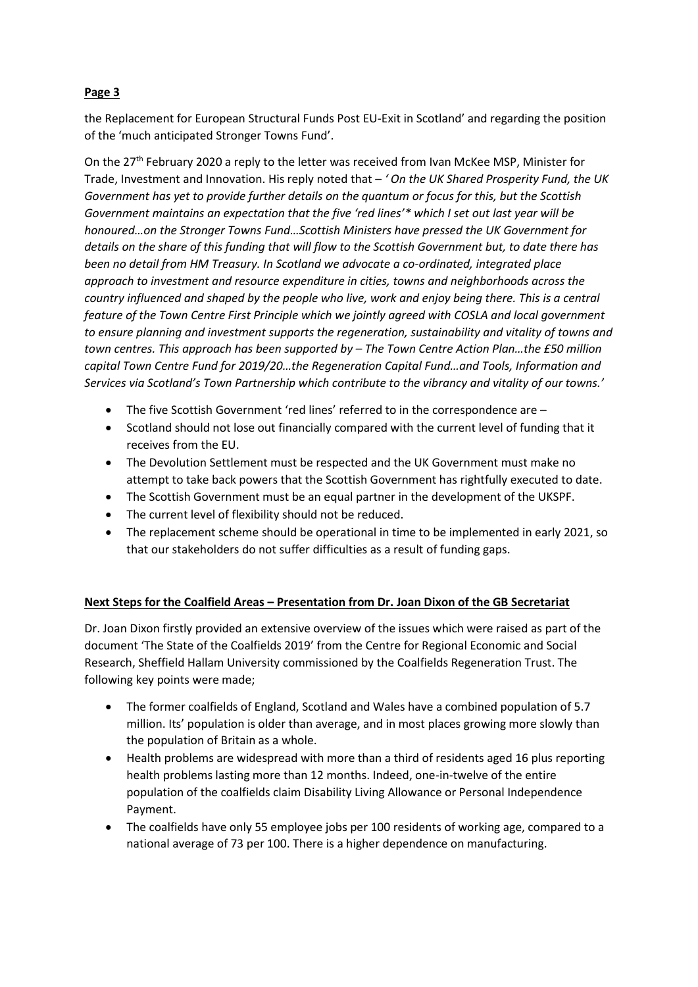# **Page 3**

the Replacement for European Structural Funds Post EU-Exit in Scotland' and regarding the position of the 'much anticipated Stronger Towns Fund'.

On the 27<sup>th</sup> February 2020 a reply to the letter was received from Ivan McKee MSP, Minister for Trade, Investment and Innovation. His reply noted that – *' On the UK Shared Prosperity Fund, the UK Government has yet to provide further details on the quantum or focus for this, but the Scottish Government maintains an expectation that the five 'red lines'\* which I set out last year will be honoured…on the Stronger Towns Fund…Scottish Ministers have pressed the UK Government for details on the share of this funding that will flow to the Scottish Government but, to date there has been no detail from HM Treasury. In Scotland we advocate a co-ordinated, integrated place approach to investment and resource expenditure in cities, towns and neighborhoods across the country influenced and shaped by the people who live, work and enjoy being there. This is a central feature of the Town Centre First Principle which we jointly agreed with COSLA and local government to ensure planning and investment supports the regeneration, sustainability and vitality of towns and town centres. This approach has been supported by – The Town Centre Action Plan...the £50 million capital Town Centre Fund for 2019/20…the Regeneration Capital Fund…and Tools, Information and Services via Scotland's Town Partnership which contribute to the vibrancy and vitality of our towns.'*

- The five Scottish Government 'red lines' referred to in the correspondence are –
- Scotland should not lose out financially compared with the current level of funding that it receives from the EU.
- The Devolution Settlement must be respected and the UK Government must make no attempt to take back powers that the Scottish Government has rightfully executed to date.
- The Scottish Government must be an equal partner in the development of the UKSPF.
- The current level of flexibility should not be reduced.
- The replacement scheme should be operational in time to be implemented in early 2021, so that our stakeholders do not suffer difficulties as a result of funding gaps.

### **Next Steps for the Coalfield Areas – Presentation from Dr. Joan Dixon of the GB Secretariat**

Dr. Joan Dixon firstly provided an extensive overview of the issues which were raised as part of the document 'The State of the Coalfields 2019' from the Centre for Regional Economic and Social Research, Sheffield Hallam University commissioned by the Coalfields Regeneration Trust. The following key points were made;

- The former coalfields of England, Scotland and Wales have a combined population of 5.7 million. Its' population is older than average, and in most places growing more slowly than the population of Britain as a whole.
- Health problems are widespread with more than a third of residents aged 16 plus reporting health problems lasting more than 12 months. Indeed, one-in-twelve of the entire population of the coalfields claim Disability Living Allowance or Personal Independence Payment.
- The coalfields have only 55 employee jobs per 100 residents of working age, compared to a national average of 73 per 100. There is a higher dependence on manufacturing.